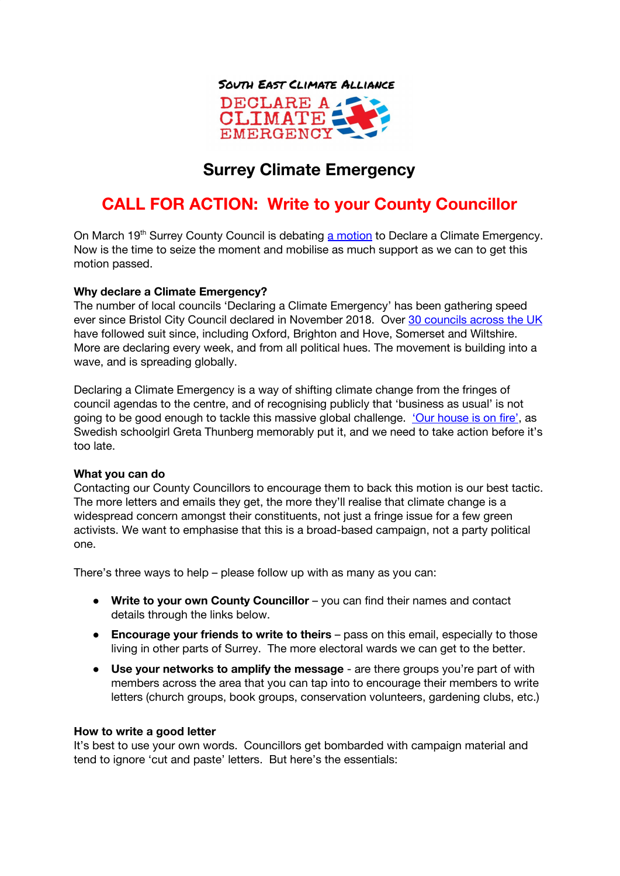

## **Surrey Climate Emergency**

# **CALL FOR ACTION: Write to your County Councillor**

On March 19<sup>th</sup> Surrey County Council is debating a [motion](https://mycouncil.surreycc.gov.uk/ieListDocuments.aspx?CId=121&MId=6657&Ver=4) to Declare a Climate Emergency. Now is the time to seize the moment and mobilise as much support as we can to get this motion passed.

### **Why declare a Climate Emergency?**

The number of local councils 'Declaring a Climate Emergency' has been gathering speed ever since Bristol City Council declared in November 2018. Over 30 [councils](https://climateemergency.uk/) across the UK have followed suit since, including Oxford, Brighton and Hove, Somerset and Wiltshire. More are declaring every week, and from all political hues. The movement is building into a wave, and is spreading globally.

Declaring a Climate Emergency is a way of shifting climate change from the fringes of council agendas to the centre, and of recognising publicly that 'business as usual' is not going to be good enough to tackle this massive global challenge. 'Our [house](https://www.youtube.com/watch?v=zrF1THd4bUM) is on fire', as Swedish schoolgirl Greta Thunberg memorably put it, and we need to take action before it's too late.

### **What you can do**

Contacting our County Councillors to encourage them to back this motion is our best tactic. The more letters and emails they get, the more they'll realise that climate change is a widespread concern amongst their constituents, not just a fringe issue for a few green activists. We want to emphasise that this is a broad-based campaign, not a party political one.

There's three ways to help – please follow up with as many as you can:

- **Write to your own County Councillor** you can find their names and contact details through the links below.
- **Encourage your friends to write to theirs** pass on this email, especially to those living in other parts of Surrey. The more electoral wards we can get to the better.
- **Use your networks to amplify the message** are there groups you're part of with members across the area that you can tap into to encourage their members to write letters (church groups, book groups, conservation volunteers, gardening clubs, etc.)

#### **How to write a good letter**

It's best to use your own words. Councillors get bombarded with campaign material and tend to ignore 'cut and paste' letters. But here's the essentials: